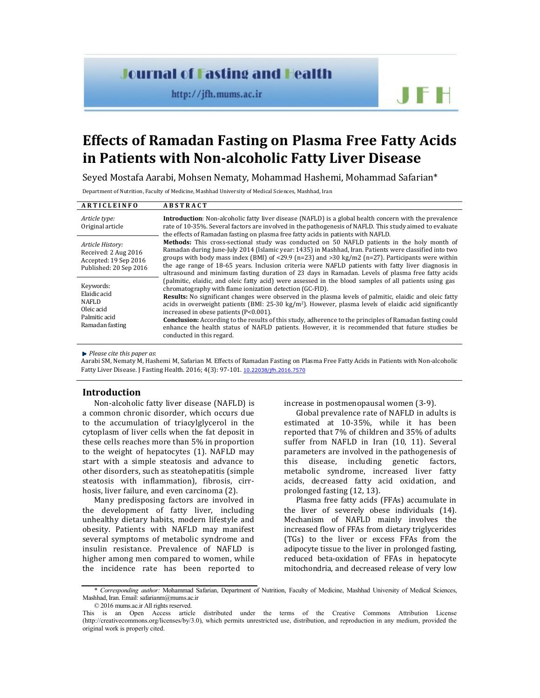# **Journal of Fasting and Health**

http://jfh.mums.ac.ir

# **Effects of Ramadan Fasting on Plasma Free Fatty Acids in Patients with Non-alcoholic Fatty Liver Disease**

Seyed Mostafa Aarabi, Mohsen Nematy, Mohammad Hashemi, Mohammad Safarian\*

Department of Nutrition, Faculty of Medicine, Mashhad University of Medical Sciences, Mashhad, Iran

| <b>ARTICLEINFO</b>                                                                          | <b>ABSTRACT</b>                                                                                                                                                                                                                                                                                                                                                                                                                                                                                                                                                                                                                                                                                       |  |
|---------------------------------------------------------------------------------------------|-------------------------------------------------------------------------------------------------------------------------------------------------------------------------------------------------------------------------------------------------------------------------------------------------------------------------------------------------------------------------------------------------------------------------------------------------------------------------------------------------------------------------------------------------------------------------------------------------------------------------------------------------------------------------------------------------------|--|
| Article type:<br>Original article                                                           | <b>Introduction</b> : Non-alcoholic fatty liver disease (NAFLD) is a global health concern with the prevalence<br>rate of 10-35%. Several factors are involved in the pathogenesis of NAFLD. This study aimed to evaluate<br>the effects of Ramadan fasting on plasma free fatty acids in patients with NAFLD.                                                                                                                                                                                                                                                                                                                                                                                        |  |
| Article History:<br>Received: 2 Aug 2016<br>Accepted: 19 Sep 2016<br>Published: 20 Sep 2016 | Methods: This cross-sectional study was conducted on 50 NAFLD patients in the holy month of<br>Ramadan during June-July 2014 (Islamic year: 1435) in Mashhad, Iran. Patients were classified into two<br>groups with body mass index (BMI) of <29.9 ( $n=23$ ) and >30 kg/m2 ( $n=27$ ). Participants were within<br>the age range of 18-65 years. Inclusion criteria were NAFLD patients with fatty liver diagnosis in<br>ultrasound and minimum fasting duration of 23 days in Ramadan. Levels of plasma free fatty acids                                                                                                                                                                           |  |
| Keywords:<br>Elaidic acid<br><b>NAFLD</b><br>Oleic acid<br>Palmitic acid<br>Ramadan fasting | (palmitic, elaidic, and oleic fatty acid) were assessed in the blood samples of all patients using gas<br>chromatography with flame ionization detection (GC-FID).<br><b>Results:</b> No significant changes were observed in the plasma levels of palmitic, elaidic and oleic fatty<br>acids in overweight patients (BMI: $25-30 \text{ kg/m}^2$ ). However, plasma levels of elaidic acid significantly<br>increased in obese patients (P<0.001).<br><b>Conclusion:</b> According to the results of this study, adherence to the principles of Ramadan fasting could<br>enhance the health status of NAFLD patients. However, it is recommended that future studies be<br>conducted in this regard. |  |

*Please cite this paper as*:

Aarabi SM, Nematy M, Hashemi M, Safarian M. Effects of Ramadan Fasting on Plasma Free Fatty Acids in Patients with Non-alcoholic Fatty Liver Disease. J Fasting Health. 2016; 4(3): 97-101. 10.22038/jfh.2016.7570

# **Introduction**

Non-alcoholic fatty liver disease (NAFLD) is a common chronic disorder, which occurs due to the accumulation of triacylglycerol in the cytoplasm of liver cells when the fat deposit in these cells reaches more than 5% in proportion to the weight of hepatocytes (1). NAFLD may start with a simple steatosis and advance to other disorders, such as steatohepatitis (simple steatosis with inflammation), fibrosis, cirrhosis, liver failure, and even carcinoma (2).

Many predisposing factors are involved in the development of fatty liver, including unhealthy dietary habits, modern lifestyle and obesity. Patients with NAFLD may manifest several symptoms of metabolic syndrome and insulin resistance. Prevalence of NAFLD is higher among men compared to women, while the incidence rate has been reported to

increase in postmenopausal women (3-9).

Global prevalence rate of NAFLD in adults is estimated at 10-35%, while it has been reported that 7% of children and 35% of adults suffer from NAFLD in Iran (10, 11). Several parameters are involved in the pathogenesis of this disease, including genetic factors, metabolic syndrome, increased liver fatty acids, decreased fatty acid oxidation, and prolonged fasting (12, 13).

JFH

Plasma free fatty acids (FFAs) accumulate in the liver of severely obese individuals (14). Mechanism of NAFLD mainly involves the increased flow of FFAs from dietary triglycerides (TGs) to the liver or excess FFAs from the adipocyte tissue to the liver in prolonged fasting, reduced beta-oxidation of FFAs in hepatocyte mitochondria, and decreased release of very low

© 2016 mums.ac.ir All rights reserved.

<sup>\*</sup> *Corresponding author:* Mohammad Safarian, Department of Nutrition, Faculty of Medicine, Mashhad University of Medical Sciences, Mashhad, Iran. Email: safarianm@mums.ac.ir

This is an Open Access article distributed under the terms of the Creative Commons Attribution License (http://creativecommons.org/licenses/by/3.0), which permits unrestricted use, distribution, and reproduction in any medium, provided the original work is properly cited.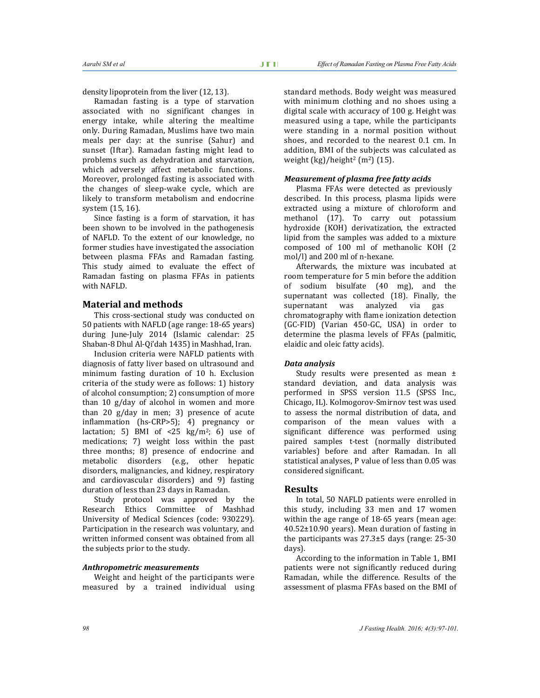density lipoprotein from the liver (12, 13).

Ramadan fasting is a type of starvation associated with no significant changes in energy intake, while altering the mealtime only. During Ramadan, Muslims have two main meals per day: at the sunrise (Sahur) and sunset (Iftar). Ramadan fasting might lead to problems such as dehydration and starvation, which adversely affect metabolic functions. Moreover, prolonged fasting is associated with the changes of sleep-wake cycle, which are likely to transform metabolism and endocrine system (15, 16).

Since fasting is a form of starvation, it has been shown to be involved in the pathogenesis of NAFLD. To the extent of our knowledge, no former studies have investigated the association between plasma FFAs and Ramadan fasting. This study aimed to evaluate the effect of Ramadan fasting on plasma FFAs in patients with NAFLD.

# **Material and methods**

This cross-sectional study was conducted on 50 patients with NAFLD (age range: 18-65 years) during June-July 2014 (Islamic calendar: 25 Shaban-8 Dhul Al-Qi'dah 1435) in Mashhad, Iran.

Inclusion criteria were NAFLD patients with diagnosis of fatty liver based on ultrasound and minimum fasting duration of 10 h. Exclusion criteria of the study were as follows: 1) history of alcohol consumption; 2) consumption of more than 10 g/day of alcohol in women and more than 20 g/day in men; 3) presence of acute inflammation (hs-CRP>5); 4) pregnancy or lactation; 5) BMI of  $\lt 25$  kg/m<sup>2</sup>; 6) use of medications; 7) weight loss within the past three months; 8) presence of endocrine and metabolic disorders (e.g., other hepatic disorders, malignancies, and kidney, respiratory and cardiovascular disorders) and 9) fasting duration of less than 23 days in Ramadan.

Study protocol was approved by the Research Ethics Committee of Mashhad University of Medical Sciences (code: 930229). Participation in the research was voluntary, and written informed consent was obtained from all the subjects prior to the study.

# *Anthropometric measurements*

Weight and height of the participants were measured by a trained individual using standard methods. Body weight was measured with minimum clothing and no shoes using a digital scale with accuracy of 100 g. Height was measured using a tape, while the participants were standing in a normal position without shoes, and recorded to the nearest 0.1 cm. In addition, BMI of the subjects was calculated as weight  $(kg)/$ height<sup>2</sup> (m<sup>2</sup>) (15).

#### *Measurement of plasma free fatty acids*

Plasma FFAs were detected as previously described. In this process, plasma lipids were extracted using a mixture of chloroform and methanol (17). To carry out potassium hydroxide (KOH) derivatization, the extracted lipid from the samples was added to a mixture composed of 100 ml of methanolic KOH (2 mol/l) and 200 ml of n-hexane.

Afterwards, the mixture was incubated at room temperature for 5 min before the addition of sodium bisulfate (40 mg), and the supernatant was collected (18). Finally, the supernatant was analyzed via gas chromatography with flame ionization detection (GC-FID) (Varian 450-GC, USA) in order to determine the plasma levels of FFAs (palmitic, elaidic and oleic fatty acids).

#### *Data analysis*

Study results were presented as mean ± standard deviation, and data analysis was performed in SPSS version 11.5 (SPSS Inc., Chicago, IL). Kolmogorov-Smirnov test was used to assess the normal distribution of data, and comparison of the mean values with a significant difference was performed using paired samples t-test (normally distributed variables) before and after Ramadan. In all statistical analyses, P value of less than 0.05 was considered significant.

# **Results**

In total, 50 NAFLD patients were enrolled in this study, including 33 men and 17 women within the age range of 18-65 years (mean age: 40.52±10.90 years). Mean duration of fasting in the participants was 27.3±5 days (range: 25-30 days).

According to the information in Table 1, BMI patients were not significantly reduced during Ramadan, while the difference. Results of the assessment of plasma FFAs based on the BMI of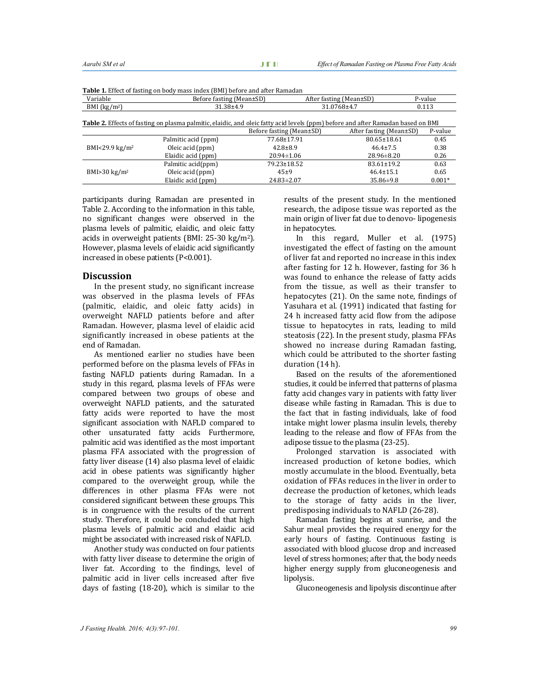| <b>Fable 1.</b> Effect of fasting on body mass muck (DMI) before and after Namadan |                          |                                                                                                                                  |                         |          |  |  |
|------------------------------------------------------------------------------------|--------------------------|----------------------------------------------------------------------------------------------------------------------------------|-------------------------|----------|--|--|
| Variable                                                                           | Before fasting (Mean±SD) |                                                                                                                                  | After fasting (Mean±SD) | P-value  |  |  |
| BMI $(kg/m2)$                                                                      | 31.38±4.9                |                                                                                                                                  | 31.0768±4.7             |          |  |  |
|                                                                                    |                          | Table 2. Effects of fasting on plasma palmitic, elaidic, and oleic fatty acid levels (ppm) before and after Ramadan based on BMI |                         |          |  |  |
|                                                                                    |                          | Before fasting (Mean±SD)                                                                                                         | After fasting (Mean±SD) | P-value  |  |  |
| BMI<29.9 $\text{kg/m}^2$                                                           | Palmitic acid (ppm)      | 77.68±17.91                                                                                                                      | 80.65±18.61             | 0.45     |  |  |
|                                                                                    | Oleic acid (ppm)         | $42.8 \pm 8.9$                                                                                                                   | $46.4 \pm 7.5$          | 0.38     |  |  |
|                                                                                    | Elaidic acid (ppm)       | $20.94 \pm 1.06$                                                                                                                 | $28.96 \pm 8.20$        | 0.26     |  |  |
| BMI $>30 \text{ kg/m}^2$                                                           | Palmitic acid(ppm)       | 79.23±18.52                                                                                                                      | $83.61 \pm 19.2$        | 0.63     |  |  |
|                                                                                    | Oleic acid (ppm)         | $45+9$                                                                                                                           | $46.4 \pm 15.1$         | 0.65     |  |  |
|                                                                                    | Elaidic acid (ppm)       | $24.83 \pm 2.07$                                                                                                                 | $35.86 \pm 9.8$         | $0.001*$ |  |  |

**Table 1.** Effect of fasting on body mass index (BMI) before and after Ramadan

participants during Ramadan are presented in Table 2. According to the information in this table, no significant changes were observed in the plasma levels of palmitic, elaidic, and oleic fatty acids in overweight patients (BMI: 25-30 kg/m2). However, plasma levels of elaidic acid significantly increased in obese patients (P<0.001).

#### **Discussion**

In the present study, no significant increase was observed in the plasma levels of FFAs (palmitic, elaidic, and oleic fatty acids) in overweight NAFLD patients before and after Ramadan. However, plasma level of elaidic acid significantly increased in obese patients at the end of Ramadan.

As mentioned earlier no studies have been performed before on the plasma levels of FFAs in fasting NAFLD patients during Ramadan. In a study in this regard, plasma levels of FFAs were compared between two groups of obese and overweight NAFLD patients, and the saturated fatty acids were reported to have the most significant association with NAFLD compared to other unsaturated fatty acids Furthermore, palmitic acid was identified as the most important plasma FFA associated with the progression of fatty liver disease (14) also plasma level of elaidic acid in obese patients was significantly higher compared to the overweight group, while the differences in other plasma FFAs were not considered significant between these groups. This is in congruence with the results of the current study. Therefore, it could be concluded that high plasma levels of palmitic acid and elaidic acid might be associated with increased risk of NAFLD.

Another study was conducted on four patients with fatty liver disease to determine the origin of liver fat. According to the findings, level of palmitic acid in liver cells increased after five days of fasting (18-20), which is similar to the

results of the present study. In the mentioned research, the adipose tissue was reported as the main origin of liver fat due to denovo- lipogenesis in hepatocytes.

In this regard, Muller et al. (1975) investigated the effect of fasting on the amount of liver fat and reported no increase in this index after fasting for 12 h. However, fasting for 36 h was found to enhance the release of fatty acids from the tissue, as well as their transfer to hepatocytes (21). On the same note, findings of Yasuhara et al. (1991) indicated that fasting for 24 h increased fatty acid flow from the adipose tissue to hepatocytes in rats, leading to mild steatosis (22). In the present study, plasma FFAs showed no increase during Ramadan fasting, which could be attributed to the shorter fasting duration (14 h).

Based on the results of the aforementioned studies, it could be inferred that patterns of plasma fatty acid changes vary in patients with fatty liver disease while fasting in Ramadan. This is due to the fact that in fasting individuals, lake of food intake might lower plasma insulin levels, thereby leading to the release and flow of FFAs from the adipose tissue to the plasma (23-25).

Prolonged starvation is associated with increased production of ketone bodies, which mostly accumulate in the blood. Eventually, beta oxidation of FFAs reduces in the liver in order to decrease the production of ketones, which leads to the storage of fatty acids in the liver, predisposing individuals to NAFLD (26-28).

Ramadan fasting begins at sunrise, and the Sahur meal provides the required energy for the early hours of fasting. Continuous fasting is associated with blood glucose drop and increased level of stress hormones; after that, the body needs higher energy supply from gluconeogenesis and lipolysis.

Gluconeogenesis and lipolysis discontinue after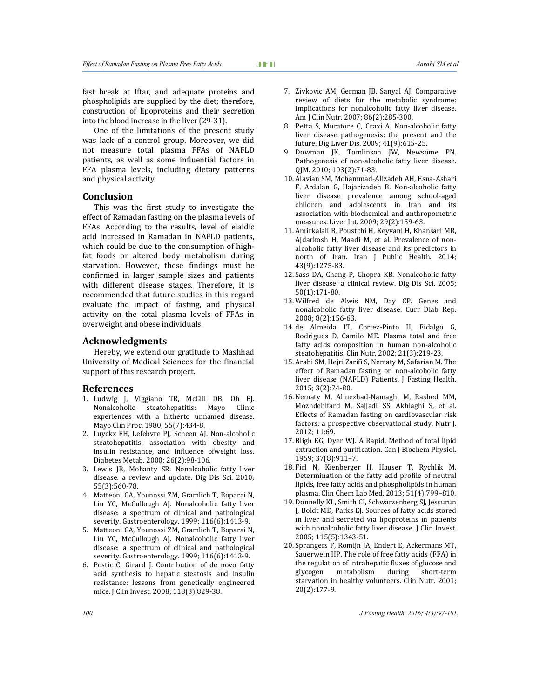fast break at Iftar, and adequate proteins and phospholipids are supplied by the diet; therefore, construction of lipoproteins and their secretion into the blood increase in the liver (29-31).

One of the limitations of the present study was lack of a control group. Moreover, we did not measure total plasma FFAs of NAFLD patients, as well as some influential factors in FFA plasma levels, including dietary patterns and physical activity.

## **Conclusion**

This was the first study to investigate the effect of Ramadan fasting on the plasma levels of FFAs. According to the results, level of elaidic acid increased in Ramadan in NAFLD patients, which could be due to the consumption of highfat foods or altered body metabolism during starvation. However, these findings must be confirmed in larger sample sizes and patients with different disease stages. Therefore, it is recommended that future studies in this regard evaluate the impact of fasting, and physical activity on the total plasma levels of FFAs in overweight and obese individuals.

## **Acknowledgments**

Hereby, we extend our gratitude to Mashhad University of Medical Sciences for the financial support of this research project.

# **References**

- 1. Ludwig J, Viggiano TR, McGill DB, Oh BJ. Nonalcoholic steatohepatitis: Mayo Clinic experiences with a hitherto unnamed disease. Mayo Clin Proc. 1980; 55(7):434-8.
- 2. Luyckx FH, Lefebvre PJ, Scheen AJ. Non-alcoholic steatohepatitis: association with obesity and insulin resistance, and influence ofweight loss. Diabetes Metab. 2000; 26(2):98-106.
- 3. Lewis JR, Mohanty SR. Nonalcoholic fatty liver disease: a review and update. Dig Dis Sci. 2010; 55(3):560-78.
- 4. Matteoni CA, Younossi ZM, Gramlich T, Boparai N, Liu YC, McCullough AJ. Nonalcoholic fatty liver disease: a spectrum of clinical and pathological severity. Gastroenterology. 1999; 116(6):1413-9.
- 5. Matteoni CA, Younossi ZM, Gramlich T, Boparai N, Liu YC, McCullough AJ. Nonalcoholic fatty liver disease: a spectrum of clinical and pathological severity. Gastroenterology. 1999; 116(6):1413-9.
- 6. Postic C, Girard J. Contribution of de novo fatty acid synthesis to hepatic steatosis and insulin resistance: lessons from genetically engineered mice. J Clin Invest. 2008; 118(3):829-38.
- 7. Zivkovic AM, German JB, Sanyal AJ. Comparative review of diets for the metabolic syndrome: implications for nonalcoholic fatty liver disease. Am J Clin Nutr. 2007; 86(2):285-300.
- 8. Petta S, Muratore C, Craxi A. Non-alcoholic fatty liver disease pathogenesis: the present and the future. Dig Liver Dis. 2009; 41(9):615-25.
- 9. Dowman JK, Tomlinson JW, Newsome PN. Pathogenesis of non-alcoholic fatty liver disease. QJM. 2010; 103(2):71-83.
- 10. Alavian SM, Mohammad-Alizadeh AH, Esna-Ashari F, Ardalan G, Hajarizadeh B. Non-alcoholic fatty liver disease prevalence among school-aged children and adolescents in Iran and its association with biochemical and anthropometric measures. Liver Int. 2009; 29(2):159-63.
- 11. Amirkalali B, Poustchi H, Keyvani H, Khansari MR, Ajdarkosh H, Maadi M, et al. Prevalence of nonalcoholic fatty liver disease and its predictors in north of Iran. Iran J Public Health. 2014; 43(9):1275-83.
- 12. Sass DA, Chang P, Chopra KB. Nonalcoholic fatty liver disease: a clinical review. Dig Dis Sci. 2005; 50(1):171-80.
- 13. Wilfred de Alwis NM, Day CP. Genes and nonalcoholic fatty liver disease. Curr Diab Rep. 2008; 8(2):156-63.
- 14. de Almeida IT, Cortez-Pinto H, Fidalgo G, Rodrigues D, Camilo ME. Plasma total and free fatty acids composition in human non-alcoholic steatohepatitis. Clin Nutr. 2002; 21(3):219-23.
- 15. Arabi SM, Hejri Zarifi S, Nematy M, Safarian M. The effect of Ramadan fasting on non-alcoholic fatty liver disease (NAFLD) Patients. J Fasting Health. 2015; 3(2):74-80.
- 16. Nematy M, Alinezhad-Namaghi M, Rashed MM, Mozhdehifard M, Sajjadi SS, Akhlaghi S, et al. Effects of Ramadan fasting on cardiovascular risk factors: a prospective observational study. Nutr J. 2012; 11:69.
- 17. Bligh EG, Dyer WJ. A Rapid, Method of total lipid extraction and purification. Can J Biochem Physiol. 1959; 37(8):911–7.
- 18. Firl N, Kienberger H, Hauser T, Rychlik M. Determination of the fatty acid profile of neutral lipids, free fatty acids and phospholipids in human plasma. Clin Chem Lab Med. 2013; 51(4):799–810.
- 19. Donnelly KL, Smith CI, Schwarzenberg SJ, Jessurun J, Boldt MD, Parks EJ. Sources of fatty acids stored in liver and secreted via lipoproteins in patients with nonalcoholic fatty liver disease. J Clin Invest. 2005; 115(5):1343-51.
- 20. Sprangers F, Romijn JA, Endert E, Ackermans MT, Sauerwein HP. The role of free fatty acids (FFA) in the regulation of intrahepatic fluxes of glucose and glycogen metabolism during short-term starvation in healthy volunteers. Clin Nutr. 2001; 20(2):177-9.

*100 J Fasting Health. 2016; 4(3):97-101.*